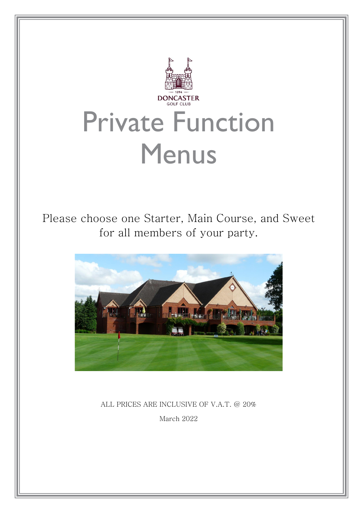

ALL PRICES ARE INCLUSIVE OF V.A.T. @ 20% March 2022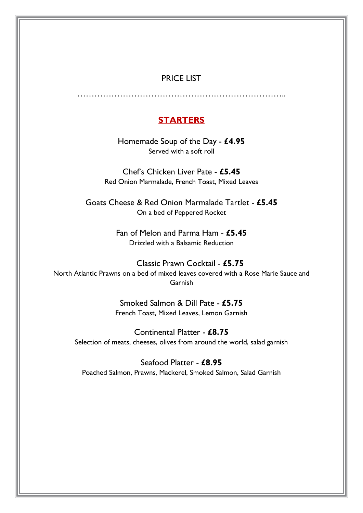#### PRICE LIST

………………………………………………………………..

#### **STARTERS**

Homemade Soup of the Day - **£4.95** Served with a soft roll

Chef's Chicken Liver Pate - **£5.45** Red Onion Marmalade, French Toast, Mixed Leaves

Goats Cheese & Red Onion Marmalade Tartlet - **£5.45** On a bed of Peppered Rocket

> Fan of Melon and Parma Ham - **£5.45** Drizzled with a Balsamic Reduction

 Classic Prawn Cocktail - **£5.75** North Atlantic Prawns on a bed of mixed leaves covered with a Rose Marie Sauce and Garnish

> Smoked Salmon & Dill Pate - **£5.75** French Toast, Mixed Leaves, Lemon Garnish

Continental Platter - **£8.75** Selection of meats, cheeses, olives from around the world, salad garnish

Seafood Platter - **£8.95** Poached Salmon, Prawns, Mackerel, Smoked Salmon, Salad Garnish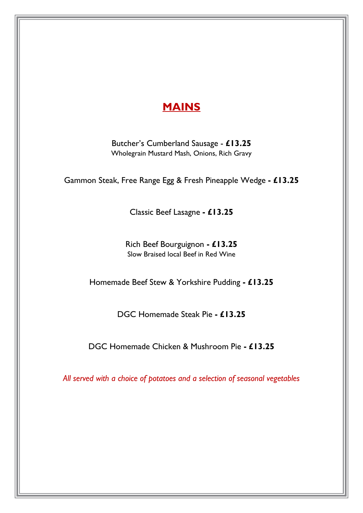# **MAINS**

Butcher's Cumberland Sausage - **£13.25** Wholegrain Mustard Mash, Onions, Rich Gravy

Gammon Steak, Free Range Egg & Fresh Pineapple Wedge **- £13.25**

Classic Beef Lasagne **- £13.25**

Rich Beef Bourguignon **- £13.25** Slow Braised local Beef in Red Wine

Homemade Beef Stew & Yorkshire Pudding **- £13.25**

DGC Homemade Steak Pie **- £13.25**

DGC Homemade Chicken & Mushroom Pie **- £13.25**

*All served with a choice of potatoes and a selection of seasonal vegetables*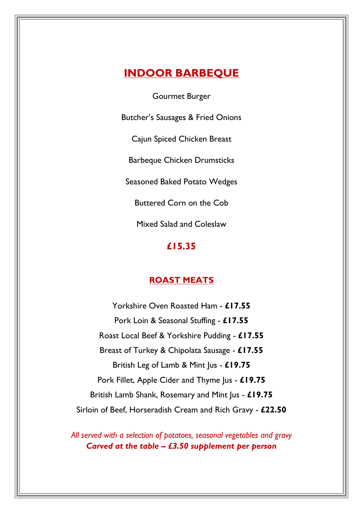# **INDOOR BARBEQUE**

Gourmet Burger

Butcher's Sausages & Fried Onions

Cajun Spiced Chicken Breast

Barbeque Chicken Drumsticks

Seasoned Baked Potato Wedges

Buttered Corn on the Cob

Mixed Salad and Coleslaw

#### **£15.35**

#### **ROAST MEATS**

Yorkshire Oven Roasted Ham - **£17.55** Pork Loin & Seasonal Stuffing - **£17.55** Roast Local Beef & Yorkshire Pudding - **£17.55** Breast of Turkey & Chipolata Sausage - **£17.55** British Leg of Lamb & Mint Jus - **£19.75** Pork Fillet, Apple Cider and Thyme Jus - **£19.75** British Lamb Shank, Rosemary and Mint Jus - **£19.75** Sirloin of Beef, Horseradish Cream and Rich Gravy - **£22.50**

*All served with a selection of potatoes, seasonal vegetables and gravy Carved at the table – £3.50 supplement per person*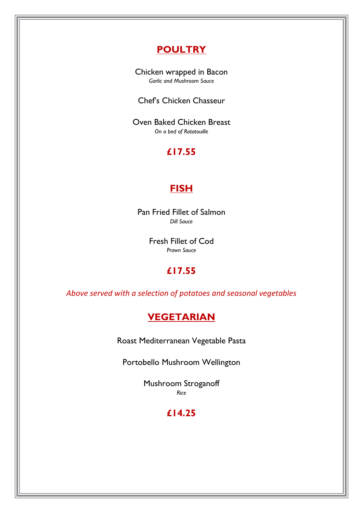# **POULTRY**

Chicken wrapped in Bacon *Garlic and Mushroom Sauce*

Chef's Chicken Chasseur

Oven Baked Chicken Breast *On a bed of Ratatouille*

# **£17.55**

### **FISH**

Pan Fried Fillet of Salmon *Dill Sauce*

> Fresh Fillet of Cod *Prawn Sauce*

## **£17.55**

*Above served with a selection of potatoes and seasonal vegetables*

## **VEGETARIAN**

Roast Mediterranean Vegetable Pasta

Portobello Mushroom Wellington

Mushroom Stroganoff *Rice*

# **£14.25**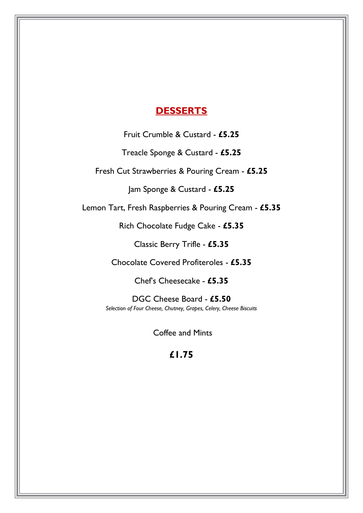#### **DESSERTS**

Fruit Crumble & Custard - **£5.25**

Treacle Sponge & Custard - **£5.25**

Fresh Cut Strawberries & Pouring Cream - **£5.25**

Jam Sponge & Custard - **£5.25**

Lemon Tart, Fresh Raspberries & Pouring Cream - **£5.35**

Rich Chocolate Fudge Cake - **£5.35**

Classic Berry Trifle - **£5.35**

Chocolate Covered Profiteroles - **£5.35**

Chef's Cheesecake - **£5.35**

DGC Cheese Board - **£5.50** *Selection of Four Cheese, Chutney, Grapes, Celery, Cheese Biscuits*

Coffee and Mints

#### **£1.75**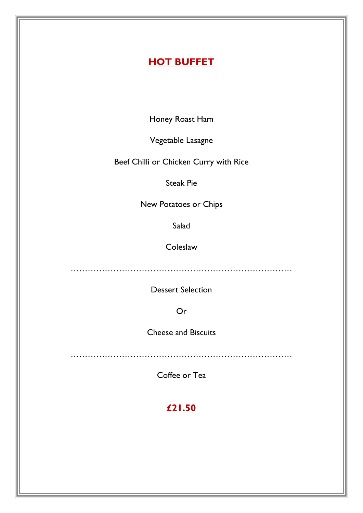# **HOT BUFFET**

Honey Roast Ham

Vegetable Lasagne

Beef Chilli or Chicken Curry with Rice

Steak Pie

New Potatoes or Chips

Salad

**Coleslaw** 

……………………………………………………………………

Dessert Selection

Or

Cheese and Biscuits

……………………………………………………………………

Coffee or Tea

**£21.50**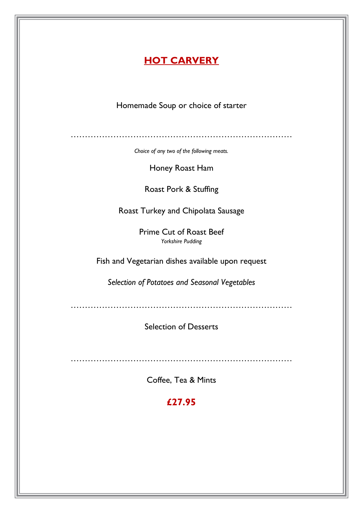### **HOT CARVERY**

Homemade Soup or choice of starter

……………………………………………………………………

*Choice of any two of the following meats.*

Honey Roast Ham

Roast Pork & Stuffing

Roast Turkey and Chipolata Sausage

Prime Cut of Roast Beef *Yorkshire Pudding*

Fish and Vegetarian dishes available upon request

*Selection of Potatoes and Seasonal Vegetables*

……………………………………………………………………

Selection of Desserts

……………………………………………………………………

Coffee, Tea & Mints

**£27.95**